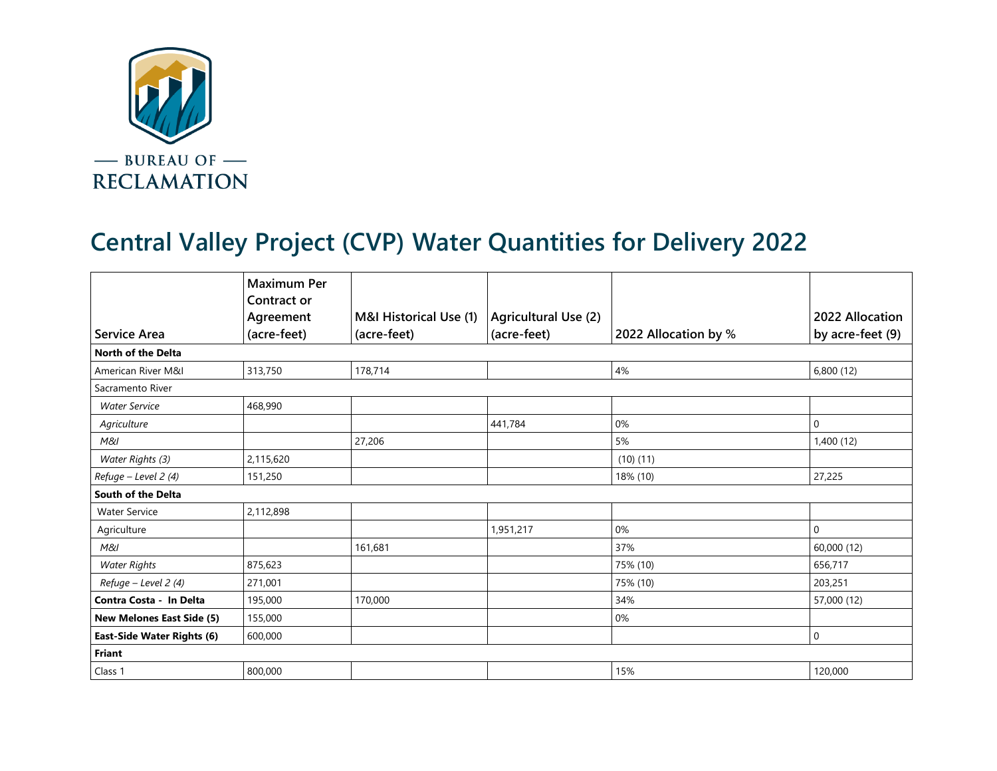

## **Central Valley Project (CVP) Water Quantities for Delivery 2022**

|                                   | <b>Maximum Per</b><br><b>Contract or</b> |                        |                      |                      |                  |  |  |  |
|-----------------------------------|------------------------------------------|------------------------|----------------------|----------------------|------------------|--|--|--|
|                                   | Agreement                                | M&I Historical Use (1) | Agricultural Use (2) |                      | 2022 Allocation  |  |  |  |
| <b>Service Area</b>               | (acre-feet)                              | (acre-feet)            | (acre-feet)          | 2022 Allocation by % | by acre-feet (9) |  |  |  |
| <b>North of the Delta</b>         |                                          |                        |                      |                      |                  |  |  |  |
| American River M&I                | 313,750                                  | 178,714                |                      | 4%                   | 6,800(12)        |  |  |  |
| Sacramento River                  |                                          |                        |                      |                      |                  |  |  |  |
| <b>Water Service</b>              | 468,990                                  |                        |                      |                      |                  |  |  |  |
| Agriculture                       |                                          |                        | 441,784              | 0%                   | 0                |  |  |  |
| M&I                               |                                          | 27,206                 |                      | 5%                   | 1,400 (12)       |  |  |  |
| Water Rights (3)                  | 2,115,620                                |                        |                      | (10)(11)             |                  |  |  |  |
| Refuge - Level 2 (4)              | 151,250                                  |                        |                      | 18% (10)             | 27,225           |  |  |  |
| South of the Delta                |                                          |                        |                      |                      |                  |  |  |  |
| <b>Water Service</b>              | 2,112,898                                |                        |                      |                      |                  |  |  |  |
| Agriculture                       |                                          |                        | 1,951,217            | 0%                   | $\mathbf 0$      |  |  |  |
| M&I                               |                                          | 161,681                |                      | 37%                  | 60,000 (12)      |  |  |  |
| <b>Water Rights</b>               | 875,623                                  |                        |                      | 75% (10)             | 656,717          |  |  |  |
| Refuge - Level 2 (4)              | 271,001                                  |                        |                      | 75% (10)             | 203,251          |  |  |  |
| Contra Costa - In Delta           | 195,000                                  | 170,000                |                      | 34%                  | 57,000 (12)      |  |  |  |
| <b>New Melones East Side (5)</b>  | 155,000                                  |                        |                      | 0%                   |                  |  |  |  |
| <b>East-Side Water Rights (6)</b> | 600,000                                  |                        |                      |                      | 0                |  |  |  |
| Friant                            |                                          |                        |                      |                      |                  |  |  |  |
| Class 1                           | 800,000                                  |                        |                      | 15%                  | 120,000          |  |  |  |